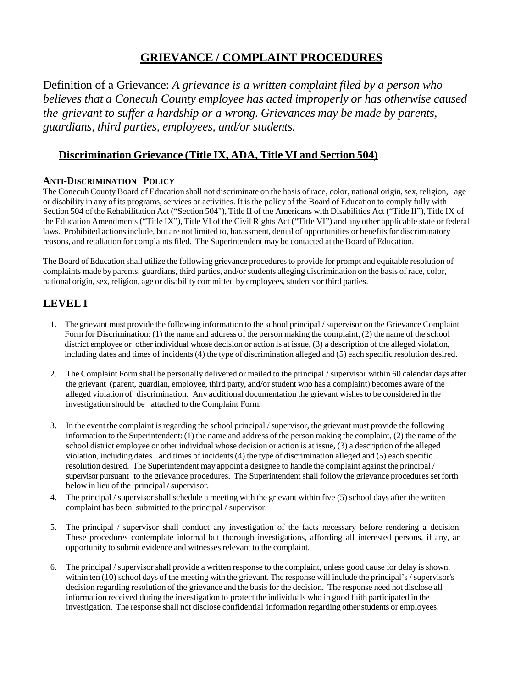### **GRIEVANCE / COMPLAINT PROCEDURES**

Definition of a Grievance: *A grievance is a written complaint filed by a person who believes that a Conecuh County employee has acted improperly or has otherwise caused the grievant to suffer a hardship or a wrong. Grievances may be made by parents, guardians, third parties, employees, and/or students.*

#### **Discrimination Grievance (Title IX, ADA, Title VI and Section 504)**

#### **ANTI-DISCRIMINATION POLICY**

The Conecuh County Board of Education shall not discriminate on the basis of race, color, national origin, sex, religion, age or disability in any of its programs, services or activities. It isthe policy of the Board of Education to comply fully with Section 504 of the Rehabilitation Act ("Section 504"), Title II of the Americans with Disabilities Act ("Title II"), Title IX of the Education Amendments ("Title IX"), Title VI of the Civil Rights Act ("Title VI") and any other applicable state or federal laws. Prohibited actions include, but are not limited to, harassment, denial of opportunities or benefits for discriminatory reasons, and retaliation for complaints filed. The Superintendent may be contacted at the Board of Education.

The Board of Education shall utilize the following grievance proceduresto provide for prompt and equitable resolution of complaints made by parents, guardians, third parties, and/or students alleging discrimination on the basis of race, color, national origin, sex, religion, age or disability committed by employees, students or third parties.

#### **LEVEL I**

- 1. The grievant must provide the following information to the school principal / supervisor on the Grievance Complaint Form for Discrimination: (1) the name and address of the person making the complaint, (2) the name of the school district employee or other individual whose decision or action is at issue, (3) a description of the alleged violation, including dates and times of incidents (4) the type of discrimination alleged and (5) each specific resolution desired.
- 2. The Complaint Form shall be personally delivered or mailed to the principal / supervisor within 60 calendar days after the grievant (parent, guardian, employee, third party, and/or student who has a complaint) becomes aware of the alleged violation of discrimination. Any additional documentation the grievant wishesto be considered in the investigation should be attached to the Complaint Form.
- 3. In the event the complaint isregarding the school principal / supervisor, the grievant must provide the following information to the Superintendent: (1) the name and address of the person making the complaint, (2) the name of the school district employee or other individual whose decision or action is at issue, (3) a description of the alleged violation, including dates and times of incidents (4) the type of discrimination alleged and (5) each specific resolution desired. The Superintendent may appoint a designee to handle the complaint against the principal / supervisor pursuant to the grievance procedures. The Superintendent shall follow the grievance procedures set forth below in lieu of the principal / supervisor.
- 4. The principal / supervisor shall schedule a meeting with the grievant within five (5) school days after the written complaint has been submitted to the principal / supervisor.
- 5. The principal / supervisor shall conduct any investigation of the facts necessary before rendering a decision. These procedures contemplate informal but thorough investigations, affording all interested persons, if any, an opportunity to submit evidence and witnesses relevant to the complaint.
- 6. The principal / supervisor shall provide a written response to the complaint, unless good cause for delay is shown, within ten (10) school days of the meeting with the grievant. The response will include the principal's / supervisor's decision regarding resolution of the grievance and the basis for the decision. The response need not disclose all information received during the investigation to protect the individuals who in good faith participated in the investigation. The response shall not disclose confidential information regarding otherstudents or employees.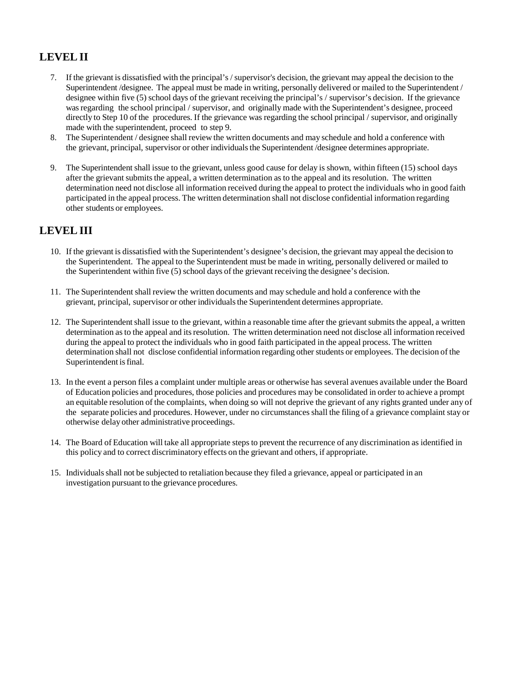## **LEVELII**

- 7. If the grievant is dissatisfied with the principal's / supervisor's decision, the grievant may appeal the decision to the Superintendent /designee. The appeal must be made in writing, personally delivered or mailed to the Superintendent / designee within five (5) school days of the grievant receiving the principal's / supervisor's decision. If the grievance wasregarding the school principal / supervisor, and originally made with the Superintendent's designee, proceed directly to Step 10 of the procedures. If the grievance was regarding the school principal / supervisor, and originally made with the superintendent, proceed to step 9.
- 8. The Superintendent / designee shall review the written documents and may schedule and hold a conference with the grievant, principal, supervisor or other individualsthe Superintendent /designee determines appropriate.
- 9. The Superintendent shall issue to the grievant, unless good cause for delay is shown, within fifteen (15) school days after the grievant submits the appeal, a written determination as to the appeal and its resolution. The written determination need not disclose all information received during the appeal to protect the individuals who in good faith participated in the appeal process. The written determination shall not disclose confidential information regarding other students or employees.

#### **LEVELIII**

- 10. If the grievant is dissatisfied with the Superintendent's designee's decision, the grievant may appeal the decision to the Superintendent. The appeal to the Superintendent must be made in writing, personally delivered or mailed to the Superintendent within five (5) school days of the grievant receiving the designee's decision.
- 11. The Superintendent shall review the written documents and may schedule and hold a conference with the grievant, principal, supervisor or other individualsthe Superintendent determines appropriate.
- 12. The Superintendent shall issue to the grievant, within a reasonable time after the grievant submits the appeal, a written determination asto the appeal and itsresolution. The written determination need not disclose all information received during the appeal to protect the individuals who in good faith participated in the appeal process. The written determination shall not disclose confidential information regarding other students or employees. The decision of the Superintendent is final.
- 13. In the event a person files a complaint under multiple areas or otherwise has several avenues available under the Board of Education policies and procedures, those policies and procedures may be consolidated in order to achieve a prompt an equitable resolution of the complaints, when doing so will not deprive the grievant of any rights granted under any of the separate policies and procedures. However, under no circumstancesshall the filing of a grievance complaint stay or otherwise delay other administrative proceedings.
- 14. The Board of Education will take all appropriate stepsto prevent the recurrence of any discrimination as identified in this policy and to correct discriminatory effects on the grievant and others, if appropriate.
- 15. Individualsshall not be subjected to retaliation because they filed a grievance, appeal or participated in an investigation pursuant to the grievance procedures.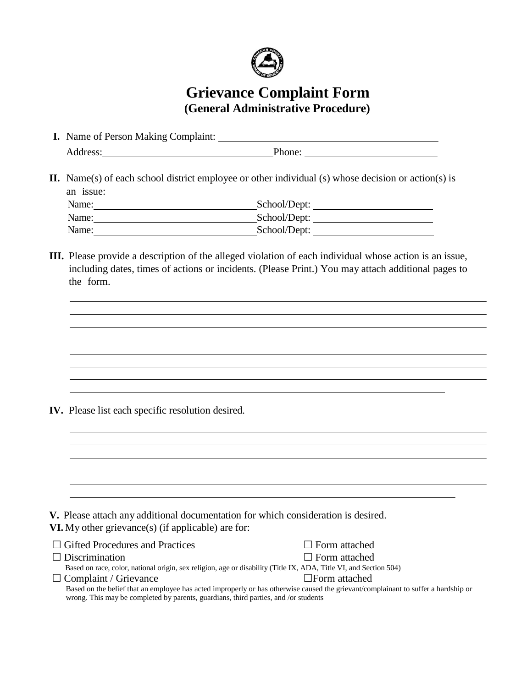

# **Grievance Complaint Form (General Administrative Procedure)**

| <b>I.</b> Name of Person Making Complaint: |        |  |
|--------------------------------------------|--------|--|
| Address:                                   | Phone: |  |

**II.** Name(s) of each school district employee or other individual (s) whose decision or action(s) is an issue:<br>Nomo:  $School/D$ 

| Name: | SCHOOL/DEPT: |
|-------|--------------|
| Name: | School/Dept: |
| Name: | School/Dept: |

**III.** Please provide a description of the alleged violation of each individual whose action is an issue, including dates, times of actions or incidents. (Please Print.) You may attach additional pages to the form.

**IV.** Please list each specific resolution desired.

| V. Please attach any additional documentation for which consideration is desired.                                 |                                                                                                                                    |
|-------------------------------------------------------------------------------------------------------------------|------------------------------------------------------------------------------------------------------------------------------------|
| VI. My other grievance(s) (if applicable) are for:                                                                |                                                                                                                                    |
| $\Box$ Gifted Procedures and Practices                                                                            | $\Box$ Form attached                                                                                                               |
| $\Box$ Discrimination                                                                                             | $\Box$ Form attached                                                                                                               |
| Based on race, color, national origin, sex religion, age or disability (Title IX, ADA, Title VI, and Section 504) |                                                                                                                                    |
| $\Box$ Complaint / Grievance                                                                                      | $\Box$ Form attached                                                                                                               |
| wrong. This may be completed by parents, guardians, third parties, and /or students                               | Based on the belief that an employee has acted improperly or has otherwise caused the grievant/complainant to suffer a hardship or |
|                                                                                                                   |                                                                                                                                    |